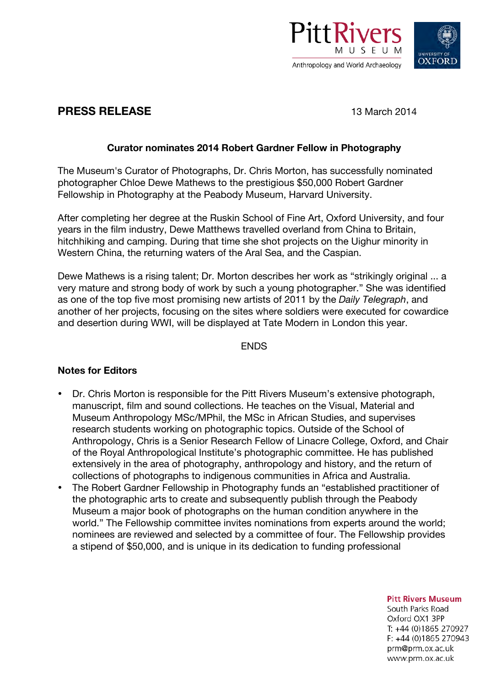

# **OXFORD**

## **PRESS RELEASE** 13 March 2014

#### **Curator nominates 2014 Robert Gardner Fellow in Photography**

The Museum's Curator of Photographs, Dr. Chris Morton, has successfully nominated photographer Chloe Dewe Mathews to the prestigious \$50,000 Robert Gardner Fellowship in Photography at the Peabody Museum, Harvard University.

After completing her degree at the Ruskin School of Fine Art, Oxford University, and four years in the film industry, Dewe Matthews travelled overland from China to Britain, hitchhiking and camping. During that time she shot projects on the Uighur minority in Western China, the returning waters of the Aral Sea, and the Caspian.

Dewe Mathews is a rising talent; Dr. Morton describes her work as "strikingly original ... a very mature and strong body of work by such a young photographer." She was identified as one of the top five most promising new artists of 2011 by the *Daily Telegraph*, and another of her projects, focusing on the sites where soldiers were executed for cowardice and desertion during WWI, will be displayed at Tate Modern in London this year.

**ENDS** 

### **Notes for Editors**

- Dr. Chris Morton is responsible for the Pitt Rivers Museum's extensive photograph, manuscript, film and sound collections. He teaches on the Visual, Material and Museum Anthropology MSc/MPhil, the MSc in African Studies, and supervises research students working on photographic topics. Outside of the School of Anthropology, Chris is a Senior Research Fellow of Linacre College, Oxford, and Chair of the Royal Anthropological Institute's photographic committee. He has published extensively in the area of photography, anthropology and history, and the return of collections of photographs to indigenous communities in Africa and Australia.
- The Robert Gardner Fellowship in Photography funds an "established practitioner of the photographic arts to create and subsequently publish through the Peabody Museum a major book of photographs on the human condition anywhere in the world." The Fellowship committee invites nominations from experts around the world; nominees are reviewed and selected by a committee of four. The Fellowship provides a stipend of \$50,000, and is unique in its dedication to funding professional

**Pitt Rivers Museum** 

South Parks Road Oxford OX1 3PP T: +44 (0)1865 270927  $F: +44(0)1865270943$ prm@prm.ox.ac.uk www.prm.ox.ac.uk